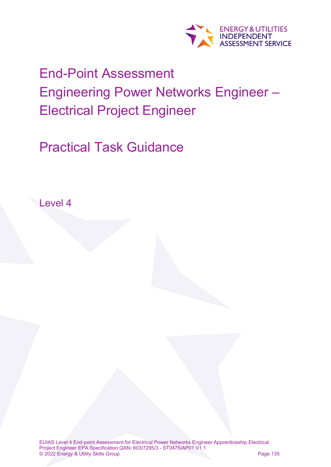

# End-Point Assessment Engineering Power Networks Engineer – Electrical Project Engineer

Practical Task Guidance

Level 4

EUIAS Level 4 End-point Assessment for Electrical Power Networks Engineer Apprenticeship Electrical Project Engineer EPA Specification QAN: 603/7295/3 - ST0475/AP01 V1.1 © 2022 Energy & Utility Skills Group Page 135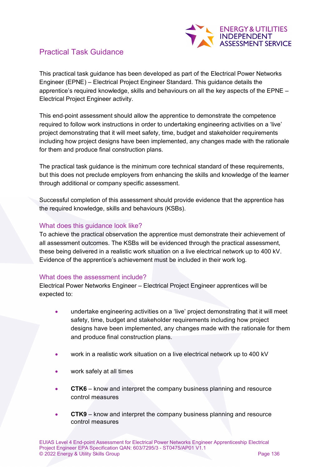

## Practical Task Guidance

This practical task guidance has been developed as part of the Electrical Power Networks Engineer (EPNE) – Electrical Project Engineer Standard. This guidance details the apprentice's required knowledge, skills and behaviours on all the key aspects of the EPNE – Electrical Project Engineer activity.

This end-point assessment should allow the apprentice to demonstrate the competence required to follow work instructions in order to undertaking engineering activities on a 'live' project demonstrating that it will meet safety, time, budget and stakeholder requirements including how project designs have been implemented, any changes made with the rationale for them and produce final construction plans.

The practical task guidance is the minimum core technical standard of these requirements, but this does not preclude employers from enhancing the skills and knowledge of the learner through additional or company specific assessment.

Successful completion of this assessment should provide evidence that the apprentice has the required knowledge, skills and behaviours (KSBs).

#### What does this guidance look like?

To achieve the practical observation the apprentice must demonstrate their achievement of all assessment outcomes. The KSBs will be evidenced through the practical assessment, these being delivered in a realistic work situation on a live electrical network up to 400 kV. Evidence of the apprentice's achievement must be included in their work log.

#### What does the assessment include?

Electrical Power Networks Engineer – Electrical Project Engineer apprentices will be expected to:

- undertake engineering activities on a 'live' project demonstrating that it will meet safety, time, budget and stakeholder requirements including how project designs have been implemented, any changes made with the rationale for them and produce final construction plans.
- work in a realistic work situation on a live electrical network up to 400 kV
- work safely at all times
- **CTK6** know and interpret the company business planning and resource control measures
- **CTK9** know and interpret the company business planning and resource control measures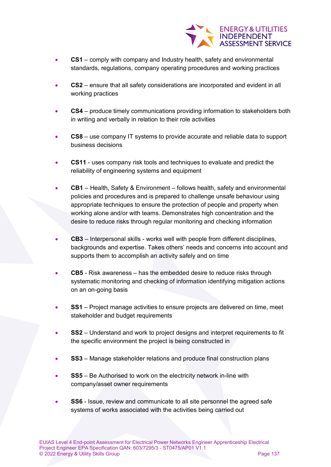

- **CS1** comply with company and Industry health, safety and environmental standards, regulations, company operating procedures and working practices
- **CS2** ensure that all safety considerations are incorporated and evident in all working practices
- **CS4** produce timely communications providing information to stakeholders both in writing and verbally in relation to their role activities
- **CS8** use company IT systems to provide accurate and reliable data to support business decisions
- **CS11** uses company risk tools and techniques to evaluate and predict the reliability of engineering systems and equipment
- **CB1** Health, Safety & Environment follows health, safety and environmental policies and procedures and is prepared to challenge unsafe behaviour using appropriate techniques to ensure the protection of people and property when working alone and/or with teams. Demonstrates high concentration and the desire to reduce risks through regular monitoring and checking information
- **CB3** Interpersonal skills works well with people from different disciplines, backgrounds and expertise. Takes others' needs and concerns into account and supports them to accomplish an activity safely and on time
- **CB5** Risk awareness has the embedded desire to reduce risks through systematic monitoring and checking of information identifying mitigation actions on an on-going basis
- **SS1** Project manage activities to ensure projects are delivered on time, meet stakeholder and budget requirements
- **SS2** Understand and work to project designs and interpret requirements to fit the specific environment the project is being constructed in
- **SS3** Manage stakeholder relations and produce final construction plans
- **SS5** Be Authorised to work on the electricity network in-line with company/asset owner requirements
- **SS6** Issue, review and communicate to all site personnel the agreed safe systems of works associated with the activities being carried out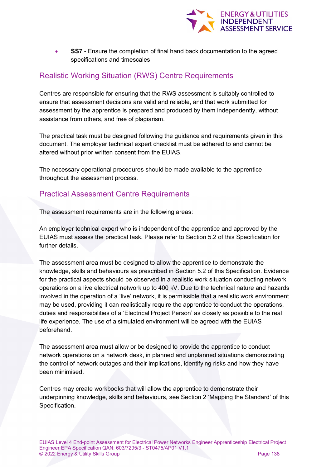

**SS7** - Ensure the completion of final hand back documentation to the agreed specifications and timescales

## Realistic Working Situation (RWS) Centre Requirements

Centres are responsible for ensuring that the RWS assessment is suitably controlled to ensure that assessment decisions are valid and reliable, and that work submitted for assessment by the apprentice is prepared and produced by them independently, without assistance from others, and free of plagiarism.

The practical task must be designed following the guidance and requirements given in this document. The employer technical expert checklist must be adhered to and cannot be altered without prior written consent from the EUIAS.

The necessary operational procedures should be made available to the apprentice throughout the assessment process.

### Practical Assessment Centre Requirements

The assessment requirements are in the following areas:

An employer technical expert who is independent of the apprentice and approved by the EUIAS must assess the practical task. Please refer to Section 5.2 of this Specification for further details.

The assessment area must be designed to allow the apprentice to demonstrate the knowledge, skills and behaviours as prescribed in Section 5.2 of this Specification. Evidence for the practical aspects should be observed in a realistic work situation conducting network operations on a live electrical network up to 400 kV. Due to the technical nature and hazards involved in the operation of a 'live' network, it is permissible that a realistic work environment may be used, providing it can realistically require the apprentice to conduct the operations, duties and responsibilities of a 'Electrical Project Person' as closely as possible to the real life experience. The use of a simulated environment will be agreed with the EUIAS beforehand.

The assessment area must allow or be designed to provide the apprentice to conduct network operations on a network desk, in planned and unplanned situations demonstrating the control of network outages and their implications, identifying risks and how they have been minimised.

Centres may create workbooks that will allow the apprentice to demonstrate their underpinning knowledge, skills and behaviours, see Section 2 'Mapping the Standard' of this Specification.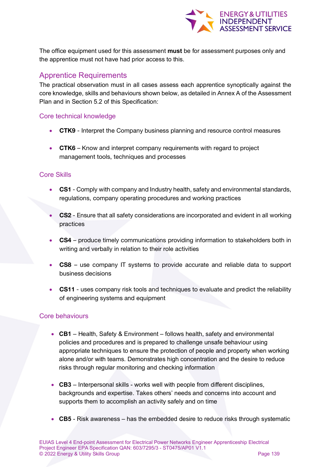

The office equipment used for this assessment **must** be for assessment purposes only and the apprentice must not have had prior access to this.

## Apprentice Requirements

The practical observation must in all cases assess each apprentice synoptically against the core knowledge, skills and behaviours shown below, as detailed in Annex A of the Assessment Plan and in Section 5.2 of this Specification:

#### Core technical knowledge

- CTK9 Interpret the Company business planning and resource control measures
- CTK6 Know and interpret company requirements with regard to project management tools, techniques and processes

#### Core Skills

- CS1 Comply with company and Industry health, safety and environmental standards, regulations, company operating procedures and working practices
- CS2 Ensure that all safety considerations are incorporated and evident in all working practices
- CS4 produce timely communications providing information to stakeholders both in writing and verbally in relation to their role activities
- CS8 use company IT systems to provide accurate and reliable data to support business decisions
- CS11 uses company risk tools and techniques to evaluate and predict the reliability of engineering systems and equipment

#### Core behaviours

- **CB1** Health, Safety & Environment follows health, safety and environmental policies and procedures and is prepared to challenge unsafe behaviour using appropriate techniques to ensure the protection of people and property when working alone and/or with teams. Demonstrates high concentration and the desire to reduce risks through regular monitoring and checking information
- **CB3** Interpersonal skills works well with people from different disciplines, backgrounds and expertise. Takes others' needs and concerns into account and supports them to accomplish an activity safely and on time
- **CB5** Risk awareness has the embedded desire to reduce risks through systematic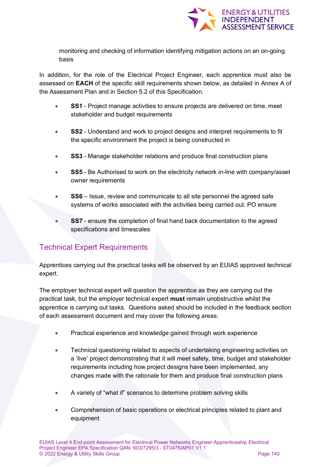

monitoring and checking of information identifying mitigation actions on an on-going basis

In addition, for the role of the Electrical Project Engineer, each apprentice must also be assessed on **EACH** of the specific skill requirements shown below, as detailed in Annex A of the Assessment Plan and in Section 5.2 of this Specification.

- **SS1** Project manage activities to ensure projects are delivered on time, meet stakeholder and budget requirements
- **SS2**  Understand and work to project designs and interpret requirements to fit the specific environment the project is being constructed in
- **SS3** Manage stakeholder relations and produce final construction plans
- **SS5** Be Authorised to work on the electricity network in-line with company/asset owner requirements
- **SS6** Issue, review and communicate to all site personnel the agreed safe systems of works associated with the activities being carried out. PO ensure
- **SS7** ensure the completion of final hand back documentation to the agreed specifications and timescales

# Technical Expert Requirements

Apprentices carrying out the practical tasks will be observed by an EUIAS approved technical expert.

The employer technical expert will question the apprentice as they are carrying out the practical task, but the employer technical expert **must** remain unobstructive whilst the apprentice is carrying out tasks. Questions asked should be included in the feedback section of each assessment document and may cover the following areas:

- Practical experience and knowledge gained through work experience
- Technical questioning related to aspects of undertaking engineering activities on a 'live' project demonstrating that it will meet safety, time, budget and stakeholder requirements including how project designs have been implemented, any changes made with the rationale for them and produce final construction plans
- A variety of "what if" scenarios to determine problem solving skills
- Comprehension of basic operations or electrical principles related to plant and equipment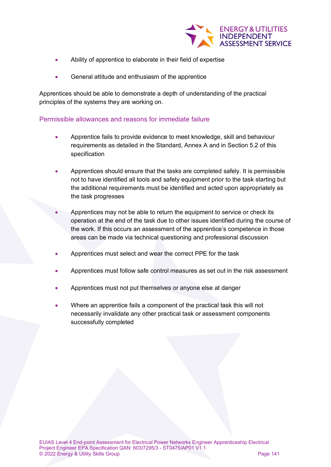

- Ability of apprentice to elaborate in their field of expertise
- General attitude and enthusiasm of the apprentice

Apprentices should be able to demonstrate a depth of understanding of the practical principles of the systems they are working on.

#### Permissible allowances and reasons for immediate failure

- Apprentice fails to provide evidence to meet knowledge, skill and behaviour requirements as detailed in the Standard, Annex A and in Section 5.2 of this specification
- Apprentices should ensure that the tasks are completed safely. It is permissible not to have identified all tools and safety equipment prior to the task starting but the additional requirements must be identified and acted upon appropriately as the task progresses
- Apprentices may not be able to return the equipment to service or check its operation at the end of the task due to other issues identified during the course of the work. If this occurs an assessment of the apprentice's competence in those areas can be made via technical questioning and professional discussion
- Apprentices must select and wear the correct PPE for the task
- Apprentices must follow safe control measures as set out in the risk assessment
- Apprentices must not put themselves or anyone else at danger
- Where an apprentice fails a component of the practical task this will not necessarily invalidate any other practical task or assessment components successfully completed